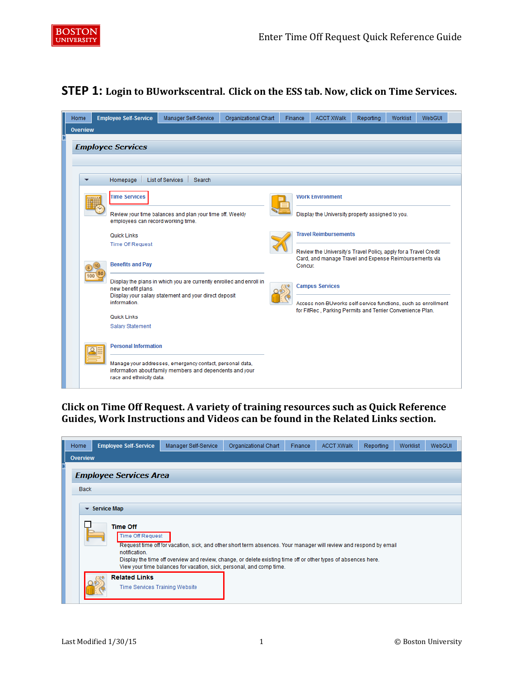

## **STEP 1: Login to BUworkscentral. Click on the ESS tab. Now, click on Time Services.**

| Home     | <b>Employee Self-Service</b>       | Manager Self-Service                                                                                                 | Organizational Chart | Finance | <b>ACCT XWalk</b>                                                 | Reporting | <b>Worklist</b> | WebGUI |
|----------|------------------------------------|----------------------------------------------------------------------------------------------------------------------|----------------------|---------|-------------------------------------------------------------------|-----------|-----------------|--------|
| Overview |                                    |                                                                                                                      |                      |         |                                                                   |           |                 |        |
|          | <b>Employee Services</b>           |                                                                                                                      |                      |         |                                                                   |           |                 |        |
|          |                                    |                                                                                                                      |                      |         |                                                                   |           |                 |        |
|          | Homepage                           | List of Services<br>Search                                                                                           |                      |         |                                                                   |           |                 |        |
|          | <b>Time Services</b>               |                                                                                                                      |                      |         | <b>Work Environment</b>                                           |           |                 |        |
|          | employees can record working time. | Review your time balances and plan your time off. Weekly                                                             |                      |         | Display the University property assigned to you.                  |           |                 |        |
|          | <b>Quick Links</b>                 |                                                                                                                      |                      |         | <b>Travel Reimbursements</b>                                      |           |                 |        |
|          | <b>Time Off Request</b>            |                                                                                                                      |                      |         | Review the University's Travel Policy, apply for a Travel Credit  |           |                 |        |
|          | <b>Benefits and Pay</b>            |                                                                                                                      |                      |         | Card, and manage Travel and Expense Reimbursements via<br>Concur. |           |                 |        |
|          | new benefit plans.                 | Display the plans in which you are currently enrolled and enroll in                                                  |                      |         | <b>Campus Services</b>                                            |           |                 |        |
|          | information.                       | Display your salary statement and your direct deposit                                                                |                      |         | Access non-BUworks self-service functions, such as enrollment     |           |                 |        |
|          | <b>Quick Links</b>                 |                                                                                                                      |                      |         | for FitRec, Parking Permits and Terrier Convenience Plan.         |           |                 |        |
|          | <b>Salary Statement</b>            |                                                                                                                      |                      |         |                                                                   |           |                 |        |
|          | <b>Personal Information</b>        |                                                                                                                      |                      |         |                                                                   |           |                 |        |
|          | race and ethnicity data.           | Manage your addresses, emergency contact, personal data,<br>information about family members and dependents and your |                      |         |                                                                   |           |                 |        |

**Click on Time Off Request. A variety of training resources such as Quick Reference Guides, Work Instructions and Videos can be found in the Related Links section.** 

| Home        | <b>Employee Self-Service</b>               | Manager Self-Service                                                                                                                                                                   | Organizational Chart | Finance | <b>ACCT XWalk</b> | Reporting | Worklist | WebGUI |
|-------------|--------------------------------------------|----------------------------------------------------------------------------------------------------------------------------------------------------------------------------------------|----------------------|---------|-------------------|-----------|----------|--------|
| Overview    |                                            |                                                                                                                                                                                        |                      |         |                   |           |          |        |
|             | <b>Employee Services Area</b>              |                                                                                                                                                                                        |                      |         |                   |           |          |        |
| <b>Back</b> |                                            |                                                                                                                                                                                        |                      |         |                   |           |          |        |
|             | $\blacktriangleright$ Service Map          |                                                                                                                                                                                        |                      |         |                   |           |          |        |
|             |                                            |                                                                                                                                                                                        |                      |         |                   |           |          |        |
|             | <b>Time Off</b><br><b>Time Off Request</b> |                                                                                                                                                                                        |                      |         |                   |           |          |        |
|             | notification.                              | Request time off for vacation, sick, and other short term absences. Your manager will review and respond by email                                                                      |                      |         |                   |           |          |        |
|             |                                            | Display the time off overview and review, change, or delete existing time off or other types of absences here.<br>View your time balances for vacation, sick, personal, and comp time. |                      |         |                   |           |          |        |
|             | <b>Related Links</b>                       |                                                                                                                                                                                        |                      |         |                   |           |          |        |
|             | Time Services Training Website             |                                                                                                                                                                                        |                      |         |                   |           |          |        |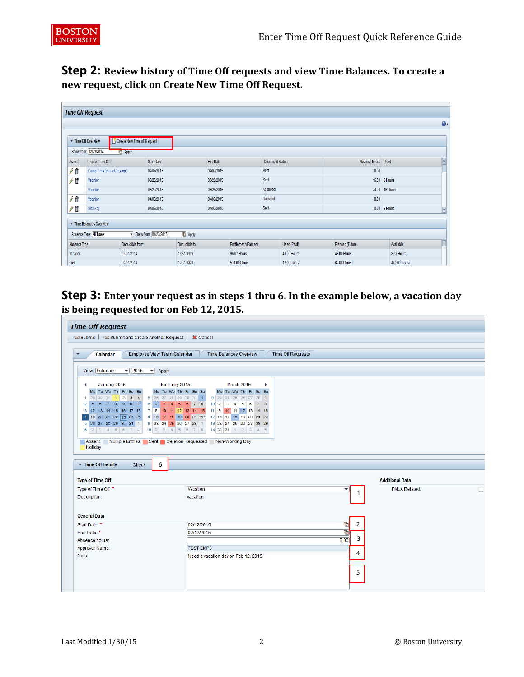

**Step 2: Review history of Time Off requests and view Time Balances. To create a new request, click on Create New Time Off Request.**

| <b>Time Off Request</b> |                           |                               |                       |                |            |                      |                 |                    |                    |                |              |
|-------------------------|---------------------------|-------------------------------|-----------------------|----------------|------------|----------------------|-----------------|--------------------|--------------------|----------------|--------------|
|                         |                           |                               |                       |                |            |                      |                 |                    |                    |                | $\mathbf{0}$ |
|                         | Time Off Overview         | C Create New Time off Request |                       |                |            |                      |                 |                    |                    |                |              |
|                         | Show from: 12/23/2014     | <b>La Apply</b>               |                       |                |            |                      |                 |                    |                    |                |              |
| Actions                 | Type of Time Off          |                               | Start Date            |                | End Date   |                      | Document Status |                    | Absence hours Used |                |              |
| 71                      | Comp Time Earned (Exempt) |                               | 09/07/2015            |                | 09/07/2015 |                      | Sent            |                    | 8.00               |                |              |
| / ii                    | Vacation                  |                               | 05/25/2015            |                | 05/26/2015 |                      | Sent            |                    |                    | 16.00 8 Hours  |              |
|                         | Vacation                  |                               | 05/22/2015            |                | 05/26/2015 |                      | Approved        |                    |                    | 24.00 16 Hours |              |
| <b>/ 11</b>             | Vacation                  |                               | 04/03/2015            |                | 04/03/2015 |                      | Rejected        |                    | 8.00               |                |              |
| Æ                       | Sick Pay                  |                               | 04/02/2015            |                | 04/02/2015 |                      | Sent            |                    |                    | 8.00 8 Hours   | E            |
|                         | Time Balances Overview    |                               |                       |                |            |                      |                 |                    |                    |                |              |
|                         | Absence Type: All Types   |                               | Show from: 01/23/2015 | <b>C</b> Apply |            |                      |                 |                    |                    |                |              |
| Absence Type            |                           | Deductible from               |                       | Deductible to  |            | Entitlement (Earned) |                 | Used (Past)        | Planned (Future)   | Available      |              |
| Vacation                |                           | 09/01/2014                    |                       | 12/31/9999     |            | 96.67 Hours          |                 | 40.00 Hours        | 48.00 Hours        | 8.67 Hours     |              |
| Sick                    |                           | 09/01/2014                    |                       | 12/31/9999     |            | 514.00 Hours         |                 | <b>12.00 Hours</b> | 62.00 Hours        | 440.00 Hours   |              |

**Step 3: Enter your request as in steps 1 thru 6. In the example below, a vacation day is being requested for on Feb 12, 2015.** 

| <b>Time Off Request</b>                                                                 |                                                            |                           |
|-----------------------------------------------------------------------------------------|------------------------------------------------------------|---------------------------|
| <b>i</b> ⊠ Submit<br><sup>■</sup> Submit and Create Another Request   <b>X</b> Cancel   |                                                            |                           |
|                                                                                         |                                                            |                           |
| Calendar<br>Employee View Team Calendar<br>۰                                            | <b>Time Balances Overview</b><br><b>Time Off Requests</b>  |                           |
|                                                                                         |                                                            |                           |
| $\overline{\phantom{0}}$ 2015<br>View: February<br>$\blacktriangleright$ Apply          |                                                            |                           |
| February 2015<br>January 2015                                                           | March 2015<br>Þ.                                           |                           |
| Mo Tu We Th Fr Sa Su<br>Mo Tu We Th Fr Sa Su                                            | Mo Tu We Th Fr Sa Su                                       |                           |
| 1 29 30 31 1 2 3 4<br>5 26 27 28 29 30 31 1                                             | 9 23 24 25 26 27 28 1                                      |                           |
| 6 2 3 4 5 6 7 8<br>2 5 6 7 8 9 10 11<br>3 12 13 14 15 16 17 18<br>7 9 10 11 12 13 14 15 | $10$ 2 3 4 5<br>$\bullet$<br>7 8<br>11 9 10 11 12 13 14 15 |                           |
| 19 20 21 22 23 24 25<br>8 16 17 18 19 20 21 22<br>$\overline{4}$                        | 12 16 17 18 19 20 21 22                                    |                           |
| 5 26 27 28 29 30 31 1<br>9 23 24 25 26 27 28 1                                          | 13 23 24 25 26 27 28 29                                    |                           |
| $10$ 2 3 4 5 6 7 8<br>$6$ 2 3 4 5 6 7 8                                                 | 14 30 31 1 2 3 4 5                                         |                           |
| Multiple Entries Sent Deletion Requested Non-Working Day<br>Absent                      |                                                            |                           |
| <b>Holiday</b>                                                                          |                                                            |                           |
|                                                                                         |                                                            |                           |
| $\blacktriangleright$ Time Off Details<br>6<br><b>Check</b>                             |                                                            |                           |
|                                                                                         |                                                            |                           |
| <b>Type of Time Off</b>                                                                 |                                                            | <b>Additional Data</b>    |
| Type of Time Off: *                                                                     | Vacation<br>▼                                              | <b>FMLA Related:</b><br>□ |
| Description:                                                                            | $\mathbf{1}$<br>Vacation                                   |                           |
|                                                                                         |                                                            |                           |
| <b>General Data</b>                                                                     |                                                            |                           |
| Start Date: *                                                                           | 67<br>$\overline{2}$<br>02/12/2015                         |                           |
| End Date: *                                                                             | 67<br>02/12/2015                                           |                           |
| Absence hours:                                                                          | 3<br>8.00                                                  |                           |
| Approver Name:                                                                          | <b>TEST EMP3</b>                                           |                           |
| Note:                                                                                   | 4<br>Need a vacation day on Feb 12, 2015                   |                           |
|                                                                                         |                                                            |                           |
|                                                                                         | 5                                                          |                           |
|                                                                                         |                                                            |                           |
|                                                                                         |                                                            |                           |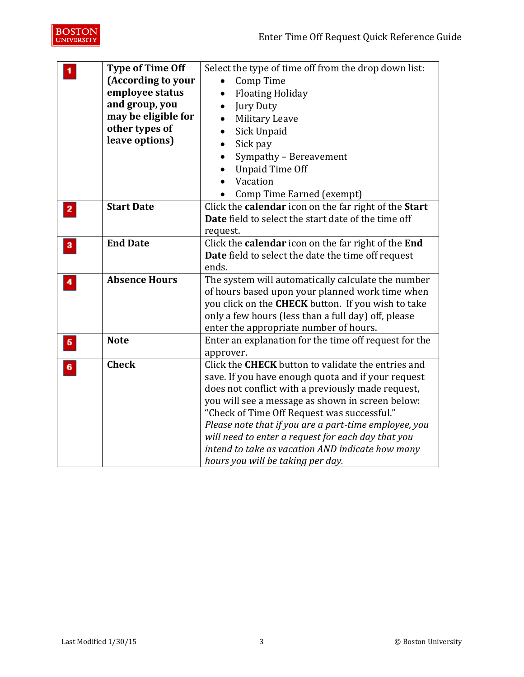

|                         | <b>Type of Time Off</b> | Select the type of time off from the drop down list:       |
|-------------------------|-------------------------|------------------------------------------------------------|
|                         | (According to your      | Comp Time                                                  |
|                         | employee status         | <b>Floating Holiday</b>                                    |
|                         | and group, you          | <b>Jury Duty</b>                                           |
|                         | may be eligible for     | Military Leave                                             |
|                         | other types of          | Sick Unpaid                                                |
|                         | leave options)          | Sick pay                                                   |
|                         |                         | Sympathy - Bereavement                                     |
|                         |                         | <b>Unpaid Time Off</b>                                     |
|                         |                         | Vacation                                                   |
|                         |                         | Comp Time Earned (exempt)                                  |
| $\overline{\mathbf{2}}$ | <b>Start Date</b>       | Click the calendar icon on the far right of the Start      |
|                         |                         | <b>Date</b> field to select the start date of the time off |
|                         |                         | request.                                                   |
| 3                       | <b>End Date</b>         | Click the calendar icon on the far right of the End        |
|                         |                         | Date field to select the date the time off request         |
|                         |                         | ends.                                                      |
|                         | <b>Absence Hours</b>    | The system will automatically calculate the number         |
|                         |                         | of hours based upon your planned work time when            |
|                         |                         | you click on the CHECK button. If you wish to take         |
|                         |                         | only a few hours (less than a full day) off, please        |
|                         |                         | enter the appropriate number of hours.                     |
| $\overline{\mathbf{5}}$ | <b>Note</b>             | Enter an explanation for the time off request for the      |
|                         |                         | approver.                                                  |
| 6                       | <b>Check</b>            | Click the <b>CHECK</b> button to validate the entries and  |
|                         |                         | save. If you have enough quota and if your request         |
|                         |                         | does not conflict with a previously made request,          |
|                         |                         | you will see a message as shown in screen below:           |
|                         |                         | "Check of Time Off Request was successful."                |
|                         |                         | Please note that if you are a part-time employee, you      |
|                         |                         | will need to enter a request for each day that you         |
|                         |                         | intend to take as vacation AND indicate how many           |
|                         |                         | hours you will be taking per day.                          |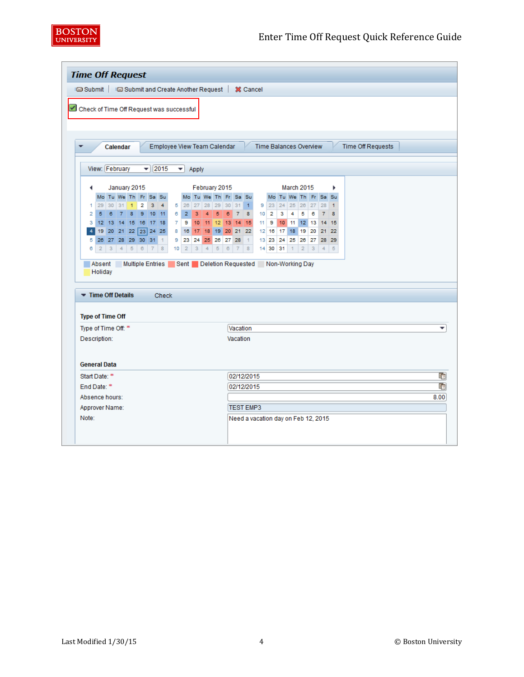

| <b>Time Off Request</b>                                     |                         |                |                 |              |  |                |                                        |                                    |                                                          |                |       |                                    |                 |            |          |                                     |                 |          |                |                                            |                |    |                |                          |                          |
|-------------------------------------------------------------|-------------------------|----------------|-----------------|--------------|--|----------------|----------------------------------------|------------------------------------|----------------------------------------------------------|----------------|-------|------------------------------------|-----------------|------------|----------|-------------------------------------|-----------------|----------|----------------|--------------------------------------------|----------------|----|----------------|--------------------------|--------------------------|
| i⊠ Submit   i⊠ Submit and Create Another Request   X Cancel |                         |                |                 |              |  |                |                                        |                                    |                                                          |                |       |                                    |                 |            |          |                                     |                 |          |                |                                            |                |    |                |                          |                          |
|                                                             |                         |                |                 |              |  |                |                                        |                                    |                                                          |                |       |                                    |                 |            |          |                                     |                 |          |                |                                            |                |    |                |                          |                          |
| Check of Time Off Request was successful                    |                         |                |                 |              |  |                |                                        |                                    |                                                          |                |       |                                    |                 |            |          |                                     |                 |          |                |                                            |                |    |                |                          |                          |
|                                                             |                         |                |                 |              |  |                |                                        |                                    |                                                          |                |       |                                    |                 |            |          |                                     |                 |          |                |                                            |                |    |                |                          |                          |
|                                                             |                         |                |                 |              |  |                |                                        |                                    |                                                          |                |       |                                    |                 |            |          |                                     |                 |          |                |                                            |                |    |                |                          |                          |
| ٠                                                           |                         |                | Calendar        |              |  |                |                                        |                                    | Employee View Team Calendar                              |                |       |                                    |                 |            |          |                                     |                 |          |                | <b>Time Balances Overview</b>              |                |    |                | <b>Time Off Requests</b> |                          |
|                                                             |                         | View: February |                 |              |  |                |                                        | $=$   2015                         |                                                          | ▾▏             | Apply |                                    |                 |            |          |                                     |                 |          |                |                                            |                |    |                |                          |                          |
|                                                             |                         |                |                 |              |  |                |                                        |                                    |                                                          |                |       |                                    |                 |            |          |                                     |                 |          |                |                                            |                |    |                |                          |                          |
|                                                             | ◀                       |                |                 | January 2015 |  |                |                                        |                                    |                                                          |                |       | February 2015                      |                 |            |          |                                     |                 |          |                | <b>March 2015</b>                          |                |    |                | ٠                        |                          |
|                                                             | 1                       |                | 29 30 31 1      |              |  | $\overline{2}$ |                                        | Mo Tu We Th Fr Sa Su<br>$3 \mid 4$ |                                                          |                |       | Mo Tu We Th Fr Sa Su               |                 |            |          |                                     |                 |          |                | Mo Tu We Th Fr Sa Su<br>$9$ 23 24 25 26 27 |                |    | 28             | 1                        |                          |
|                                                             | $\overline{2}$          |                | $5 \t6 \t7 \t8$ |              |  |                |                                        | 91011                              |                                                          |                |       | 5 26 27 28 29 30 31 1<br>$6$ 2 3 4 | $5\phantom{.0}$ |            | 6 7 8    |                                     |                 | $10$ 2   | 3 <sup>1</sup> | 4 <sup>1</sup>                             | 5              | 6  | $\overline{7}$ | $\mathbf{8}$             |                          |
|                                                             |                         |                |                 |              |  |                |                                        | 3 12 13 14 15 16 17 18             | $\overline{7}$                                           | 9              | 10    |                                    |                 |            |          | 11 12 13 14 15                      |                 | $11$ 9   |                | 10 11 12 13 14 15                          |                |    |                |                          |                          |
|                                                             | 4                       |                |                 |              |  |                |                                        | 19 20 21 22 23 24 25               | 8                                                        |                |       | 16 17 18 19 20 21 22               |                 |            |          |                                     |                 | $12$ 16  |                | 17 18 19 20                                |                |    |                | 21 22                    |                          |
|                                                             | 5                       |                |                 |              |  |                | 26 27 28 29 30 31 1                    |                                    | 9                                                        | 23             | 24    | 25                                 |                 | 26 27 28   |          | $\vert$ 1                           | 13 <sup>1</sup> | 23       | 24             |                                            | 25 26          | 27 |                | 28 29                    |                          |
|                                                             | 6                       |                |                 |              |  |                | $2 \mid 3 \mid 4 \mid 5 \mid 6 \mid 7$ | 8                                  | 10 <sub>1</sub>                                          | $\overline{2}$ | 3     | $\overline{4}$                     | $\sqrt{5}$      | $_{\rm 6}$ |          | $7 \quad 8$                         |                 | 14 30 31 |                | $\vert$                                    | $\overline{2}$ | 3  | $\overline{4}$ | 5                        |                          |
|                                                             | Absent                  |                |                 |              |  |                |                                        |                                    | Multiple Entries Sent Deletion Requested Non-Working Day |                |       |                                    |                 |            |          |                                     |                 |          |                |                                            |                |    |                |                          |                          |
|                                                             |                         | Holiday        |                 |              |  |                |                                        |                                    |                                                          |                |       |                                    |                 |            |          |                                     |                 |          |                |                                            |                |    |                |                          |                          |
|                                                             |                         |                |                 |              |  |                |                                        |                                    |                                                          |                |       |                                    |                 |            |          |                                     |                 |          |                |                                            |                |    |                |                          |                          |
|                                                             | Time Off Details        |                |                 |              |  |                |                                        | <b>Check</b>                       |                                                          |                |       |                                    |                 |            |          |                                     |                 |          |                |                                            |                |    |                |                          |                          |
|                                                             |                         |                |                 |              |  |                |                                        |                                    |                                                          |                |       |                                    |                 |            |          |                                     |                 |          |                |                                            |                |    |                |                          |                          |
|                                                             | <b>Type of Time Off</b> |                |                 |              |  |                |                                        |                                    |                                                          |                |       |                                    |                 |            |          |                                     |                 |          |                |                                            |                |    |                |                          |                          |
|                                                             | Type of Time Off: *     |                |                 |              |  |                |                                        |                                    |                                                          |                |       |                                    |                 |            |          | Vacation                            |                 |          |                |                                            |                |    |                |                          | $\overline{\phantom{a}}$ |
|                                                             | Description:            |                |                 |              |  |                |                                        |                                    |                                                          |                |       |                                    |                 |            | Vacation |                                     |                 |          |                |                                            |                |    |                |                          |                          |
|                                                             |                         |                |                 |              |  |                |                                        |                                    |                                                          |                |       |                                    |                 |            |          |                                     |                 |          |                |                                            |                |    |                |                          |                          |
|                                                             | <b>General Data</b>     |                |                 |              |  |                |                                        |                                    |                                                          |                |       |                                    |                 |            |          |                                     |                 |          |                |                                            |                |    |                |                          |                          |
|                                                             | Start Date: *           |                |                 |              |  |                |                                        |                                    |                                                          |                |       |                                    |                 |            |          | 02/12/2015                          |                 |          |                |                                            |                |    |                |                          | 呞                        |
|                                                             | End Date: *             |                |                 |              |  |                |                                        |                                    |                                                          |                |       |                                    |                 |            |          | 02/12/2015                          |                 |          |                |                                            |                |    |                |                          | 晒                        |
|                                                             | Absence hours:          |                |                 |              |  |                |                                        |                                    |                                                          |                |       |                                    |                 |            |          |                                     |                 |          |                |                                            |                |    |                |                          | 8.00                     |
|                                                             | Approver Name:          |                |                 |              |  |                |                                        |                                    |                                                          |                |       |                                    |                 |            |          | <b>TEST EMP3</b>                    |                 |          |                |                                            |                |    |                |                          |                          |
|                                                             | Note:                   |                |                 |              |  |                |                                        |                                    |                                                          |                |       |                                    |                 |            |          | Need a vacation day on Feb 12, 2015 |                 |          |                |                                            |                |    |                |                          |                          |
|                                                             |                         |                |                 |              |  |                |                                        |                                    |                                                          |                |       |                                    |                 |            |          |                                     |                 |          |                |                                            |                |    |                |                          |                          |
|                                                             |                         |                |                 |              |  |                |                                        |                                    |                                                          |                |       |                                    |                 |            |          |                                     |                 |          |                |                                            |                |    |                |                          |                          |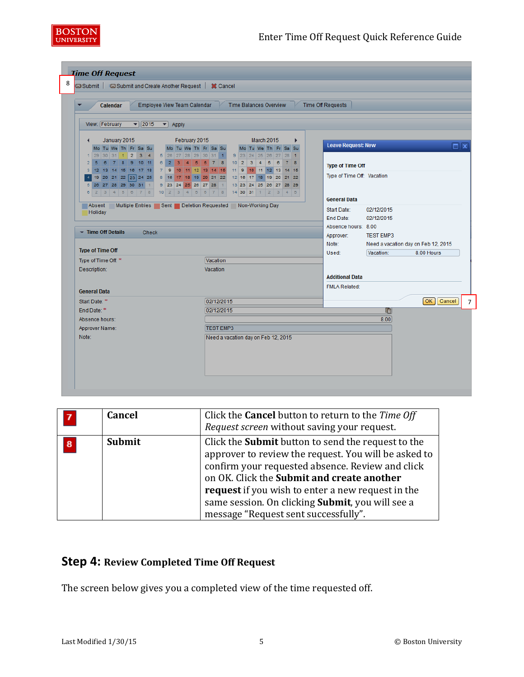

| Calendar                                                                                                                                  | Employee View Team Calendar                                                                                                       | <b>Time Balances Overview</b>                                                                                                     | Time Off Requests                                                              |                                                                                                                |
|-------------------------------------------------------------------------------------------------------------------------------------------|-----------------------------------------------------------------------------------------------------------------------------------|-----------------------------------------------------------------------------------------------------------------------------------|--------------------------------------------------------------------------------|----------------------------------------------------------------------------------------------------------------|
| View: February<br>$\blacktriangledown$   2015                                                                                             | $\blacktriangleright$ Apply                                                                                                       |                                                                                                                                   |                                                                                |                                                                                                                |
| January 2015<br>Mo Tu We Th Fr Sa Su<br>$1 \ 29 \ 30 \ 31 \ 1 \ 2 \ 3 \ 4$<br>6 7 8 9 10 11<br>$2 \overline{5}$<br>3 12 13 14 15 16 17 18 | February 2015<br>Mo Tu We Th Fr Sa Su<br>6 2 3 4 5 6 7 8<br>7 9 10 11 12 13 14 15                                                 | March 2015<br>٠<br>Mo Tu We Th Fr Sa Su<br>9 23 24 25 26 27 28 1<br>$10$ 2 3 4 5<br>$\mathbf{6}$<br>7 8<br>11 9 10 11 12 13 14 15 | <b>Leave Request: New</b><br><b>Type of Time Off</b>                           | $\Box$ x                                                                                                       |
| 4 19 20 21 22 23 24 25<br>5 26 27 28 29 30 31 1<br>$6$ 2 3 4 5 6 7 8<br>Absent                                                            | 8 16 17 18 19 20 21 22<br>9 23 24 25 26 27 28 1<br>$10$ 2 3 4 5 6 7 8<br>Multiple Entries Sent Deletion Requested Non-Working Day | 12 16 17 18 19 20 21 22<br>13 23 24 25 26 27 28 29<br>$14$ 30 31 1 2 3 4 5                                                        | Type of Time Off: Vacation<br><b>General Data</b>                              |                                                                                                                |
| Holiday<br>Time Off Details<br><b>Check</b><br><b>Type of Time Off</b>                                                                    |                                                                                                                                   |                                                                                                                                   | Start Date:<br>End Date:<br>Absence hours: 8.00<br>Approver:<br>Note:<br>Used: | 02/12/2015<br>02/12/2015<br><b>TEST EMP3</b><br>Need a vacation day on Feb 12, 2015<br>Vacation:<br>8.00 Hours |
| Type of Time Off: *<br>Description:<br><b>General Data</b>                                                                                | Vacation<br>Vacation                                                                                                              |                                                                                                                                   | <b>Additional Data</b><br><b>FMLA Related:</b>                                 |                                                                                                                |
| Start Date: *<br>End Date: *                                                                                                              | 02/12/2015<br>02/12/2015                                                                                                          |                                                                                                                                   |                                                                                | OK   Cancel<br>晌                                                                                               |
| Absence hours:<br>Approver Name:                                                                                                          | <b>TEST EMP3</b>                                                                                                                  |                                                                                                                                   |                                                                                | 8.00                                                                                                           |
| Note:                                                                                                                                     | Need a vacation day on Feb 12, 2015                                                                                               |                                                                                                                                   |                                                                                |                                                                                                                |

| 7        | <b>Cancel</b> | Click the <b>Cancel</b> button to return to the Time Off<br>Request screen without saving your request.                                                                                                                                                                                                                                                              |
|----------|---------------|----------------------------------------------------------------------------------------------------------------------------------------------------------------------------------------------------------------------------------------------------------------------------------------------------------------------------------------------------------------------|
| $\bf{8}$ | Submit        | Click the <b>Submit</b> button to send the request to the<br>approver to review the request. You will be asked to<br>confirm your requested absence. Review and click<br>on OK. Click the Submit and create another<br>request if you wish to enter a new request in the<br>same session. On clicking Submit, you will see a<br>message "Request sent successfully". |

## **Step 4: Review Completed Time Off Request**

The screen below gives you a completed view of the time requested off.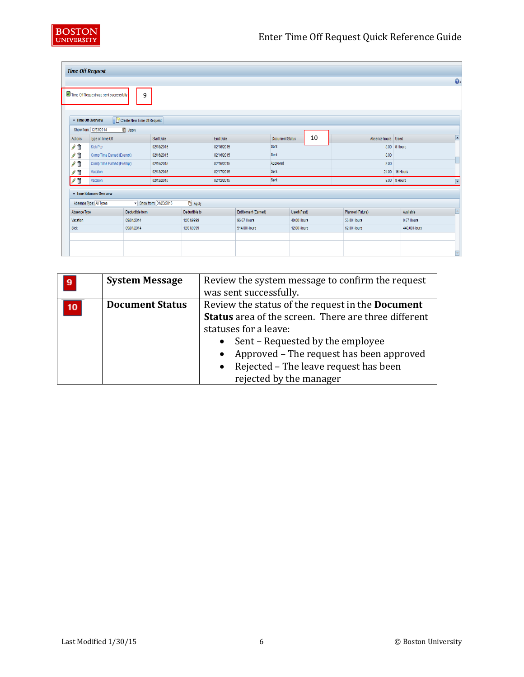

|      |                | <b>Time Off Request</b>                |                             |                       |                 |            |                      |                 |             |    |                    |                |              |
|------|----------------|----------------------------------------|-----------------------------|-----------------------|-----------------|------------|----------------------|-----------------|-------------|----|--------------------|----------------|--------------|
|      |                |                                        |                             |                       |                 |            |                      |                 |             |    |                    |                | $\mathbf{0}$ |
|      |                | Time Off Request was sent successfully | 9                           |                       |                 |            |                      |                 |             |    |                    |                |              |
|      |                | Time Off Overview                      | Create New Time off Request |                       |                 |            |                      |                 |             |    |                    |                |              |
|      |                | Show from: 12/23/2014                  | <b>F</b> Apply              |                       |                 |            |                      |                 |             |    |                    |                |              |
|      | <b>Actions</b> | Type of Time Off                       |                             | Start Date            |                 | End Date   |                      | Document Status |             | 10 | Absence hours Used |                | E            |
|      | / î            | Sick Pay                               |                             | 02/18/2015            |                 | 02/18/2015 |                      | Sent            |             |    |                    | 8.00 8 Hours   |              |
|      | ⁄ î            | Comp Time Earned (Exempt)              |                             | 02/16/2015            |                 | 02/16/2015 |                      | Sent            |             |    | 8.00               |                |              |
|      | / 1            | Comp Time Earned (Exempt)              |                             | 02/16/2015            |                 | 02/16/2015 |                      | Approved        |             |    | 8.00               |                |              |
|      | / î            | Vacation                               |                             | 02/13/2015            |                 | 02/17/2015 |                      | Sent            |             |    |                    | 24.00 16 Hours |              |
|      | /1             | Vacation                               |                             | 02/12/2015            |                 | 02/12/2015 |                      | Sent            |             |    |                    | 8.00 8 Hours   | U            |
|      |                | Time Balances Overview                 |                             |                       |                 |            |                      |                 |             |    |                    |                |              |
|      |                | Absence Type: All Types                |                             | Show from: 01/23/2015 | <b>ID</b> Apply |            |                      |                 |             |    |                    |                |              |
|      | Absence Type   |                                        | Deductible from             |                       | Deductible to   |            | Entitlement (Earned) |                 | Used (Past) |    | Planned (Future)   | Available      | ı.           |
|      | Vacation       |                                        | 09/01/2014                  |                       | 12/31/9999      |            | 96.67 Hours          |                 | 40.00 Hours |    | 56.00 Hours        | 0.67 Hours     |              |
| Sick |                |                                        | 09/01/2014                  |                       | 12/31/9999      |            | 514.00 Hours         |                 | 12.00 Hours |    | 62.00 Hours        | 440.00 Hours   |              |
|      |                |                                        |                             |                       |                 |            |                      |                 |             |    |                    |                |              |
|      |                |                                        |                             |                       |                 |            |                      |                 |             |    |                    |                |              |
|      |                |                                        |                             |                       |                 |            |                      |                 |             |    |                    |                | ۰            |

| 9 | <b>System Message</b>  | Review the system message to confirm the request<br>was sent successfully.                                                                                                                                                                                                                          |
|---|------------------------|-----------------------------------------------------------------------------------------------------------------------------------------------------------------------------------------------------------------------------------------------------------------------------------------------------|
|   | <b>Document Status</b> | Review the status of the request in the <b>Document</b><br><b>Status</b> area of the screen. There are three different<br>statuses for a leave:<br>Sent - Requested by the employee<br>Approved - The request has been approved<br>Rejected – The leave request has been<br>rejected by the manager |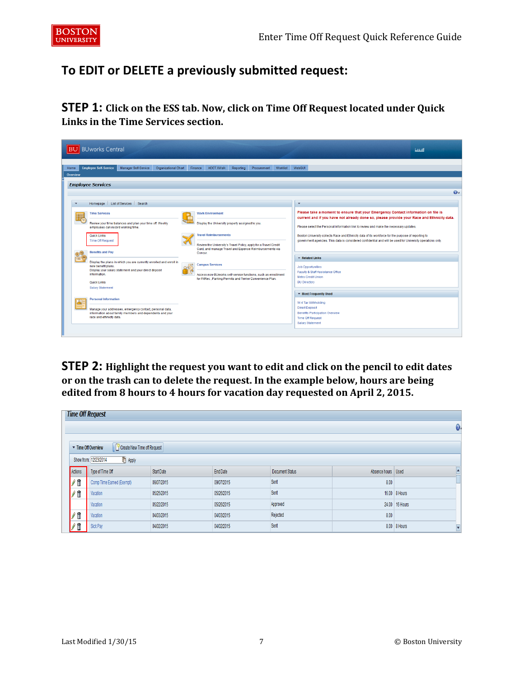## **To EDIT or DELETE a previously submitted request:**

**STEP 1: Click on the ESS tab. Now, click on Time Off Request located under Quick Links in the Time Services section.**



**STEP 2: Highlight the request you want to edit and click on the pencil to edit dates or on the trash can to delete the request. In the example below, hours are being edited from 8 hours to 4 hours for vacation day requested on April 2, 2015.**

|            | <b>Time Off Request</b>                          |            |            |                 |                    |                |              |
|------------|--------------------------------------------------|------------|------------|-----------------|--------------------|----------------|--------------|
|            |                                                  |            |            |                 |                    |                | $\mathbf{0}$ |
|            | Create New Time off Request<br>Time Off Overview |            |            |                 |                    |                |              |
|            | <b>F</b> Apply<br>Show from: 12/23/2014          |            |            |                 |                    |                |              |
| Actions    | Type of Time Off                                 | Start Date | End Date   | Document Status | Absence hours Used |                |              |
| $\sqrt{1}$ | Comp Time Earned (Exempt)                        | 09/07/2015 | 09/07/2015 | Sent            | 8.00               |                |              |
| $\sqrt{1}$ | Vacation                                         | 05/25/2015 | 05/26/2015 | Sent            |                    | 16.00 8 Hours  |              |
|            | Vacation                                         | 05/22/2015 | 05/26/2015 | Approved        |                    | 24.00 16 Hours |              |
| $\sqrt{1}$ | Vacation                                         | 04/03/2015 | 04/03/2015 | Rejected        | 8.00               |                |              |
| fì         | Sick Pay                                         | 04/02/2015 | 04/02/2015 | Sent            |                    | 8.00 8 Hours   | Y            |